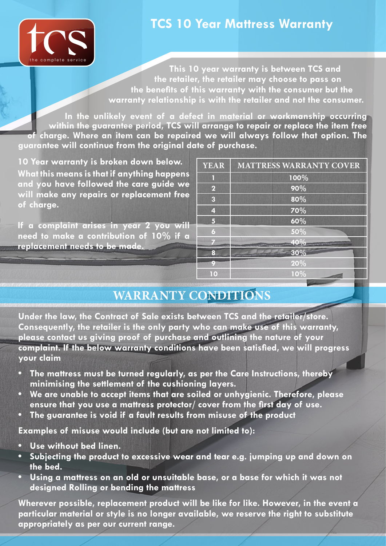

## **TCS 10 Year Mattress Warranty**

**This 10 year warranty is between TCS and the retailer, the retailer may choose to pass on the benefits of this warranty with the consumer but the warranty relationship is with the retailer and not the consumer.**

**In the unlikely event of a defect in material or workmanship occurring within the guarantee period, TCS will arrange to repair or replace the item free of charge. Where an item can be repaired we will always follow that option. The guarantee will continue from the original date of purchase.**

**What this means is that if anything happens and you have followed the care guide we will make any repairs or replacement free of charge. 10 Year warranty is broken down below.** 

**If a complaint arises in year 2 you will need to make a contribution of 10% if a replacement needs to be made.**

| <b>YEAR</b>             | <b>MATTRESS WARRANTY COVER</b> |
|-------------------------|--------------------------------|
|                         | 100%                           |
| $\overline{\mathbf{2}}$ | 90%                            |
| $\overline{\mathbf{3}}$ | 80%                            |
| $\overline{4}$          | 70%                            |
| 5                       | 60%                            |
| 6                       | 50%                            |
|                         | 40%                            |
| 8                       | 30%                            |
| o                       | 20%                            |
| $\overline{10}$         | 10%                            |

## **WARRANTY CONDITIONS**

**Under the law, the Contract of Sale exists between TCS and the retailer/store. Consequently, the retailer is the only party who can make use of this warranty, please contact us giving proof of purchase and outlining the nature of your complaint. If the below warranty conditions have been satisfied, we will progress your claim**

- **• The mattress must be turned regularly, as per the Care Instructions, thereby minimising the settlement of the cushioning layers.**
- **• We are unable to accept items that are soiled or unhygienic. Therefore, please ensure that you use a mattress protector/ cover from the first day of use.**
- **• The guarantee is void if a fault results from misuse of the product**

**Examples of misuse would include (but are not limited to):**

- **• Use without bed linen.**
- **• Subjecting the product to excessive wear and tear e.g. jumping up and down on the bed.**
- **• Using a mattress on an old or unsuitable base, or a base for which it was not designed Rolling or bending the mattress**

**Wherever possible, replacement product will be like for like. However, in the event a particular material or style is no longer available, we reserve the right to substitute appropriately as per our current range.**